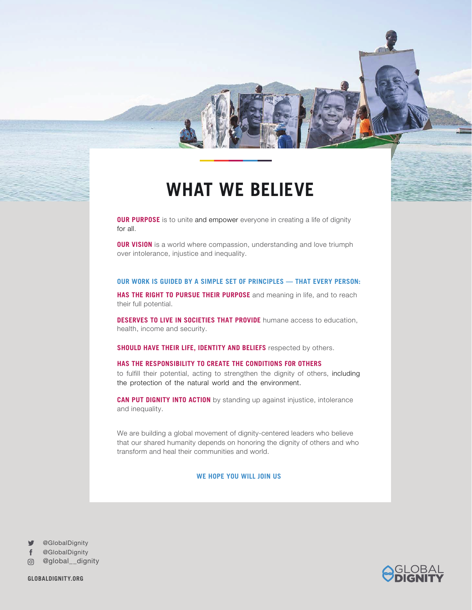## **WHAT WE BELIEVE**

**OUR PURPOSE** is to unite and empower everyone in creating a life of dignity for all.

**OUR VISION** is a world where compassion, understanding and love triumph over intolerance, injustice and inequality.

### **OUR WORK IS GUIDED BY A SIMPLE SET OF PRINCIPLES — THAT EVERY PERSON:**

**HAS THE RIGHT TO PURSUE THEIR PURPOSE** and meaning in life, and to reach their full potential.

**DESERVES TO LIVE IN SOCIETIES THAT PROVIDE** humane access to education, health, income and security.

**SHOULD HAVE THEIR LIFE, IDENTITY AND BELIEFS** respected by others.

#### **HAS THE RESPONSIBILITY TO CREATE THE CONDITIONS FOR OTHERS**

to fulfill their potential, acting to strengthen the dignity of others, including the protection of the natural world and the environment.

**CAN PUT DIGNITY INTO ACTION** by standing up against injustice, intolerance and inequality.

We are building a global movement of dignity-centered leaders who believe that our shared humanity depends on honoring the dignity of others and who transform and heal their communities and world.

#### **WE HOPE YOU WILL JOIN US**

@GlobalDignity

@GlobalDignity

@global\_\_dignity

**GLOBALDIGNITY.ORG**